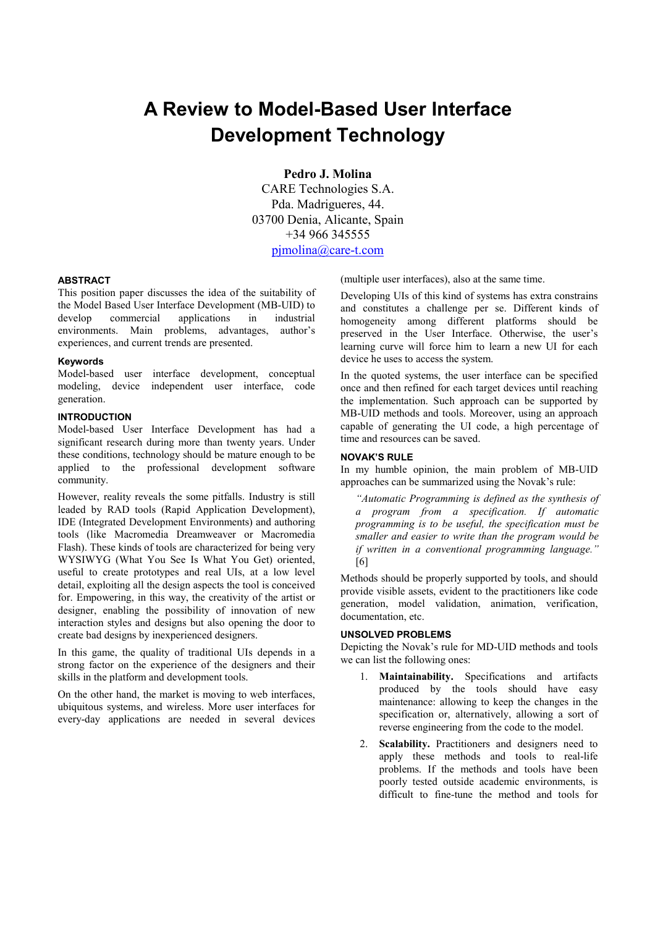# **A Review to Model-Based User Interface Development Technology**

**Pedro J. Molina** 

CARE Technologies S.A. Pda. Madrigueres, 44. 03700 Denia, Alicante, Spain +34 966 345555 pjmolina@care-t.com

# **ABSTRACT**

This position paper discusses the idea of the suitability of the Model Based User Interface Development (MB-UID) to develop commercial applications in industrial environments. Main problems, advantages, author's experiences, and current trends are presented.

# **Keywords**

Model-based user interface development, conceptual modeling, device independent user interface, code generation.

# **INTRODUCTION**

Model-based User Interface Development has had a significant research during more than twenty years. Under these conditions, technology should be mature enough to be applied to the professional development software community.

However, reality reveals the some pitfalls. Industry is still leaded by RAD tools (Rapid Application Development), IDE (Integrated Development Environments) and authoring tools (like Macromedia Dreamweaver or Macromedia Flash). These kinds of tools are characterized for being very WYSIWYG (What You See Is What You Get) oriented, useful to create prototypes and real UIs, at a low level detail, exploiting all the design aspects the tool is conceived for. Empowering, in this way, the creativity of the artist or designer, enabling the possibility of innovation of new interaction styles and designs but also opening the door to create bad designs by inexperienced designers.

In this game, the quality of traditional UIs depends in a strong factor on the experience of the designers and their skills in the platform and development tools.

On the other hand, the market is moving to web interfaces, ubiquitous systems, and wireless. More user interfaces for every-day applications are needed in several devices (multiple user interfaces), also at the same time.

Developing UIs of this kind of systems has extra constrains and constitutes a challenge per se. Different kinds of homogeneity among different platforms should be preserved in the User Interface. Otherwise, the user's learning curve will force him to learn a new UI for each device he uses to access the system.

In the quoted systems, the user interface can be specified once and then refined for each target devices until reaching the implementation. Such approach can be supported by MB-UID methods and tools. Moreover, using an approach capable of generating the UI code, a high percentage of time and resources can be saved.

# **NOVAK'S RULE**

In my humble opinion, the main problem of MB-UID approaches can be summarized using the Novak's rule:

*"Automatic Programming is defined as the synthesis of a program from a specification. If automatic programming is to be useful, the specification must be smaller and easier to write than the program would be if written in a conventional programming language."* [6]

Methods should be properly supported by tools, and should provide visible assets, evident to the practitioners like code generation, model validation, animation, verification, documentation, etc.

# **UNSOLVED PROBLEMS**

Depicting the Novak's rule for MD-UID methods and tools we can list the following ones:

- 1. **Maintainability.** Specifications and artifacts produced by the tools should have easy maintenance: allowing to keep the changes in the specification or, alternatively, allowing a sort of reverse engineering from the code to the model.
- 2. **Scalability.** Practitioners and designers need to apply these methods and tools to real-life problems. If the methods and tools have been poorly tested outside academic environments, is difficult to fine-tune the method and tools for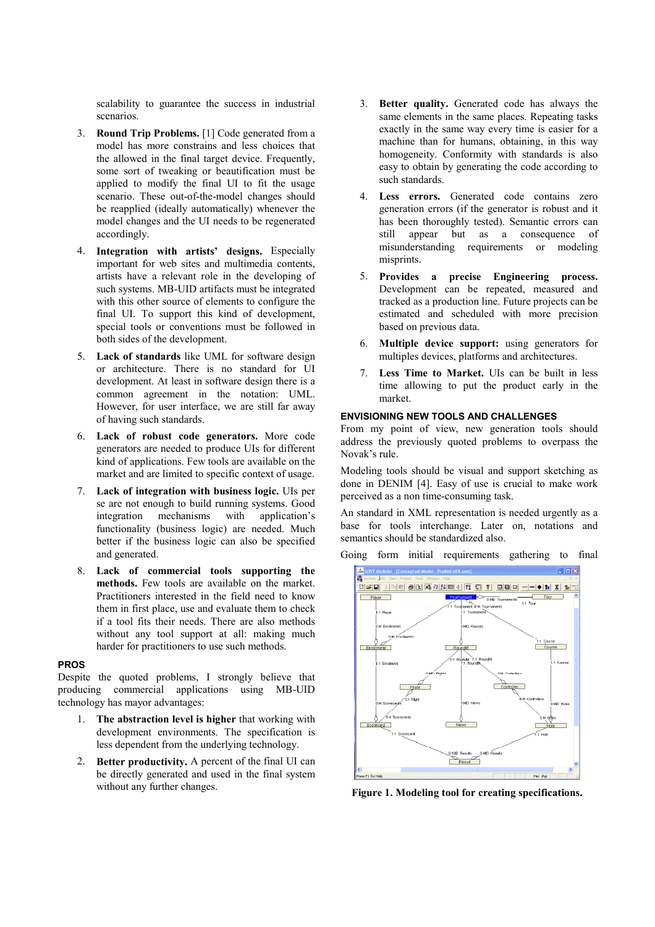scalability to guarantee the success in industrial scenarios.

- 3. **Round Trip Problems.** [1] Code generated from a model has more constrains and less choices that the allowed in the final target device. Frequently, some sort of tweaking or beautification must be applied to modify the final UI to fit the usage scenario. These out-of-the-model changes should be reapplied (ideally automatically) whenever the model changes and the UI needs to be regenerated accordingly.
- 4. **Integration with artists' designs.** Especially important for web sites and multimedia contents, artists have a relevant role in the developing of such systems. MB-UID artifacts must be integrated with this other source of elements to configure the final UI. To support this kind of development, special tools or conventions must be followed in both sides of the development.
- 5. **Lack of standards** like UML for software design or architecture. There is no standard for UI development. At least in software design there is a common agreement in the notation: UML. However, for user interface, we are still far away of having such standards.
- 6. **Lack of robust code generators.** More code generators are needed to produce UIs for different kind of applications. Few tools are available on the market and are limited to specific context of usage.
- 7. **Lack of integration with business logic.** UIs per se are not enough to build running systems. Good integration mechanisms with application's functionality (business logic) are needed. Much better if the business logic can also be specified and generated.
- 8. **Lack of commercial tools supporting the methods.** Few tools are available on the market. Practitioners interested in the field need to know them in first place, use and evaluate them to check if a tool fits their needs. There are also methods without any tool support at all: making much harder for practitioners to use such methods.

#### **PROS**

Despite the quoted problems, I strongly believe that producing commercial applications using MB-UID technology has mayor advantages:

- 1. **The abstraction level is higher** that working with development environments. The specification is less dependent from the underlying technology.
- 2. **Better productivity.** A percent of the final UI can be directly generated and used in the final system without any further changes.
- 3. **Better quality.** Generated code has always the same elements in the same places. Repeating tasks exactly in the same way every time is easier for a machine than for humans, obtaining, in this way homogeneity. Conformity with standards is also easy to obtain by generating the code according to such standards.
- 4. **Less errors.** Generated code contains zero generation errors (if the generator is robust and it has been thoroughly tested). Semantic errors can still appear but as a consequence of misunderstanding requirements or modeling misprints.
- 5. **Provides a precise Engineering process.** Development can be repeated, measured and tracked as a production line. Future projects can be estimated and scheduled with more precision based on previous data.
- 6. **Multiple device support:** using generators for multiples devices, platforms and architectures.
- 7. **Less Time to Market.** UIs can be built in less time allowing to put the product early in the market.

# **ENVISIONING NEW TOOLS AND CHALLENGES**

From my point of view, new generation tools should address the previously quoted problems to overpass the Novak's rule.

Modeling tools should be visual and support sketching as done in DENIM [4]. Easy of use is crucial to make work perceived as a non time-consuming task.

An standard in XML representation is needed urgently as a base for tools interchange. Later on, notations and semantics should be standardized also.

Going form initial requirements gathering to final



**Figure 1. Modeling tool for creating specifications.**